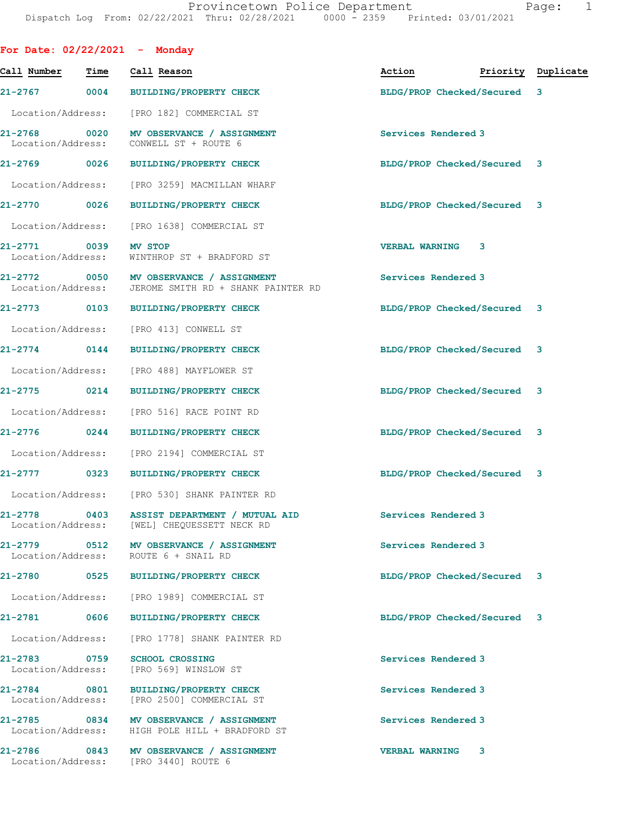| For Date: $02/22/2021$ - Monday   |      |                                                                                                 |                                  |   |  |
|-----------------------------------|------|-------------------------------------------------------------------------------------------------|----------------------------------|---|--|
| Call Number                       | Time | Call Reason                                                                                     | Action <b>Priority</b> Duplicate |   |  |
|                                   |      | 21-2767 0004 BUILDING/PROPERTY CHECK                                                            | BLDG/PROP Checked/Secured 3      |   |  |
|                                   |      | Location/Address: [PRO 182] COMMERCIAL ST                                                       |                                  |   |  |
| Location/Address:                 |      | 21-2768 0020 MV OBSERVANCE / ASSIGNMENT<br>CONWELL ST + ROUTE 6                                 | Services Rendered 3              |   |  |
|                                   |      | 21-2769 0026 BUILDING/PROPERTY CHECK                                                            | BLDG/PROP Checked/Secured 3      |   |  |
|                                   |      | Location/Address: [PRO 3259] MACMILLAN WHARF                                                    |                                  |   |  |
| 21-2770 0026                      |      | <b>BUILDING/PROPERTY CHECK</b>                                                                  | BLDG/PROP Checked/Secured 3      |   |  |
|                                   |      | Location/Address: [PRO 1638] COMMERCIAL ST                                                      |                                  |   |  |
| 21-2771 0039<br>Location/Address: |      | <b>MV STOP</b><br>WINTHROP ST + BRADFORD ST                                                     | VERBAL WARNING 3                 |   |  |
|                                   |      | 21-2772 0050 MV OBSERVANCE / ASSIGNMENT<br>Location/Address: JEROME SMITH RD + SHANK PAINTER RD | Services Rendered 3              |   |  |
|                                   |      | 21-2773 0103 BUILDING/PROPERTY CHECK                                                            | BLDG/PROP Checked/Secured 3      |   |  |
|                                   |      | Location/Address: [PRO 413] CONWELL ST                                                          |                                  |   |  |
| $21 - 2774$ 0144                  |      | <b>BUILDING/PROPERTY CHECK</b>                                                                  | BLDG/PROP Checked/Secured 3      |   |  |
|                                   |      | Location/Address: [PRO 488] MAYFLOWER ST                                                        |                                  |   |  |
| 21-2775 0214                      |      | <b>BUILDING/PROPERTY CHECK</b>                                                                  | BLDG/PROP Checked/Secured 3      |   |  |
| Location/Address:                 |      | [PRO 516] RACE POINT RD                                                                         |                                  |   |  |
|                                   |      | 21-2776 0244 BUILDING/PROPERTY CHECK                                                            | BLDG/PROP Checked/Secured 3      |   |  |
|                                   |      | Location/Address: [PRO 2194] COMMERCIAL ST                                                      |                                  |   |  |
|                                   |      | 21-2777 0323 BUILDING/PROPERTY CHECK                                                            | BLDG/PROP Checked/Secured 3      |   |  |
|                                   |      | Location/Address: [PRO 530] SHANK PAINTER RD                                                    |                                  |   |  |
| 21-2778 0403<br>Location/Address: |      | ASSIST DEPARTMENT / MUTUAL AID<br>[WEL] CHEQUESSETT NECK RD                                     | Services Rendered 3              |   |  |
| Location/Address:                 |      | 21-2779 0512 MV OBSERVANCE / ASSIGNMENT<br>ROUTE 6 + SNAIL RD                                   | Services Rendered 3              |   |  |
| 21-2780 0525                      |      | <b>BUILDING/PROPERTY CHECK</b>                                                                  | BLDG/PROP Checked/Secured 3      |   |  |
| Location/Address:                 |      | [PRO 1989] COMMERCIAL ST                                                                        |                                  |   |  |
| 21-2781 0606                      |      | BUILDING/PROPERTY CHECK                                                                         | BLDG/PROP Checked/Secured 3      |   |  |
| Location/Address:                 |      | [PRO 1778] SHANK PAINTER RD                                                                     |                                  |   |  |
| 21-2783 0759<br>Location/Address: |      | <b>SCHOOL CROSSING</b><br>[PRO 569] WINSLOW ST                                                  | Services Rendered 3              |   |  |
| 21-2784 0801<br>Location/Address: |      | BUILDING/PROPERTY CHECK<br>[PRO 2500] COMMERCIAL ST                                             | Services Rendered 3              |   |  |
| 21-2785<br>Location/Address:      |      | 0834 MV OBSERVANCE / ASSIGNMENT<br>HIGH POLE HILL + BRADFORD ST                                 | Services Rendered 3              |   |  |
|                                   |      | 21-2786 0843 MV OBSERVANCE / ASSIGNMENT<br>Location/Address: [PRO 3440] ROUTE 6                 | <b>VERBAL WARNING</b>            | 3 |  |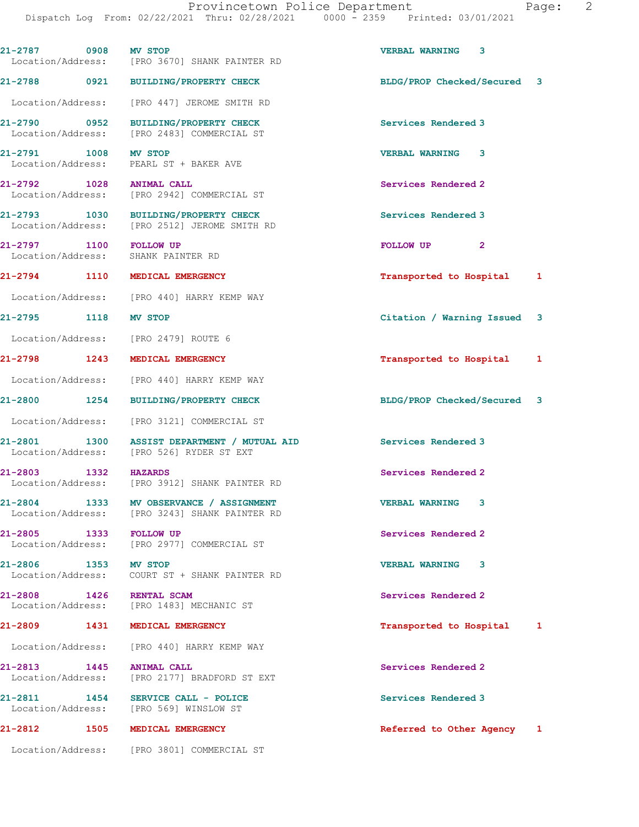| 21-2787 0908 MV STOP              |      | Location/Address: [PRO 3670] SHANK PAINTER RD                                        | VERBAL WARNING 3            |   |
|-----------------------------------|------|--------------------------------------------------------------------------------------|-----------------------------|---|
|                                   |      | 21-2788 0921 BUILDING/PROPERTY CHECK                                                 | BLDG/PROP Checked/Secured 3 |   |
|                                   |      | Location/Address: [PRO 447] JEROME SMITH RD                                          |                             |   |
|                                   |      | 21-2790 0952 BUILDING/PROPERTY CHECK<br>Location/Address: [PRO 2483] COMMERCIAL ST   | Services Rendered 3         |   |
| 21-2791 1008 MV STOP              |      | Location/Address: PEARL ST + BAKER AVE                                               | <b>VERBAL WARNING 3</b>     |   |
| 21-2792 1028 ANIMAL CALL          |      | Location/Address: [PRO 2942] COMMERCIAL ST                                           | Services Rendered 2         |   |
|                                   |      | 21-2793 1030 BUILDING/PROPERTY CHECK<br>Location/Address: [PRO 2512] JEROME SMITH RD | Services Rendered 3         |   |
| 21-2797 1100 FOLLOW UP            |      | Location/Address: SHANK PAINTER RD                                                   | FOLLOW UP<br>$\mathbf{2}$   |   |
|                                   |      | 21-2794 1110 MEDICAL EMERGENCY                                                       | Transported to Hospital 1   |   |
|                                   |      | Location/Address: [PRO 440] HARRY KEMP WAY                                           |                             |   |
| 21-2795 1118 MV STOP              |      |                                                                                      | Citation / Warning Issued 3 |   |
|                                   |      | Location/Address: [PRO 2479] ROUTE 6                                                 |                             |   |
| 21-2798 1243                      |      | MEDICAL EMERGENCY                                                                    | Transported to Hospital 1   |   |
|                                   |      | Location/Address: [PRO 440] HARRY KEMP WAY                                           |                             |   |
| 21-2800 1254                      |      | <b>BUILDING/PROPERTY CHECK</b>                                                       | BLDG/PROP Checked/Secured 3 |   |
|                                   |      | Location/Address: [PRO 3121] COMMERCIAL ST                                           |                             |   |
| 21-2801                           |      | 1300 ASSIST DEPARTMENT / MUTUAL AID<br>Location/Address: [PRO 526] RYDER ST EXT      | Services Rendered 3         |   |
| 21-2803 1332 HAZARDS              |      | Location/Address: [PRO 3912] SHANK PAINTER RD                                        | Services Rendered 2         |   |
| 21-2804<br>Location/Address:      | 1333 | MV OBSERVANCE / ASSIGNMENT<br>[PRO 3243] SHANK PAINTER RD                            | <b>VERBAL WARNING</b>       |   |
| 21-2805                           | 1333 | <b>FOLLOW UP</b><br>Location/Address: [PRO 2977] COMMERCIAL ST                       | Services Rendered 2         |   |
| 21-2806 1353 MV STOP              |      | Location/Address: COURT ST + SHANK PAINTER RD                                        | <b>VERBAL WARNING 3</b>     |   |
| 21-2808 1426                      |      | RENTAL SCAM<br>Location/Address: [PRO 1483] MECHANIC ST                              | Services Rendered 2         |   |
| 21-2809                           | 1431 | MEDICAL EMERGENCY                                                                    | Transported to Hospital     | 1 |
|                                   |      | Location/Address: [PRO 440] HARRY KEMP WAY                                           |                             |   |
| 21-2813 1445<br>Location/Address: |      | <b>ANIMAL CALL</b><br>[PRO 2177] BRADFORD ST EXT                                     | Services Rendered 2         |   |
| 21-2811<br>Location/Address:      | 1454 | SERVICE CALL - POLICE<br>[PRO 569] WINSLOW ST                                        | Services Rendered 3         |   |
| 21-2812                           | 1505 | MEDICAL EMERGENCY                                                                    | Referred to Other Agency 1  |   |
|                                   |      | Location/Address: [PRO 3801] COMMERCIAL ST                                           |                             |   |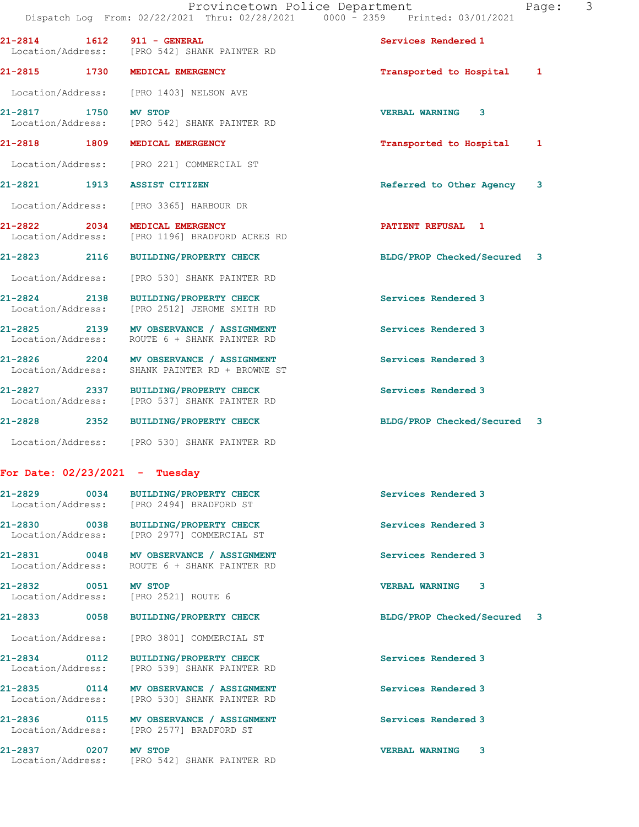| aqe |  |  |
|-----|--|--|
|-----|--|--|

| 21-2814 1612                     | 911 - GENERAL<br>Location/Address: [PRO 542] SHANK PAINTER RD                             | Services Rendered 1         |
|----------------------------------|-------------------------------------------------------------------------------------------|-----------------------------|
|                                  | 21-2815 1730 MEDICAL EMERGENCY                                                            | Transported to Hospital 1   |
|                                  | Location/Address: [PRO 1403] NELSON AVE                                                   |                             |
| 21-2817 1750 MV STOP             | Location/Address: [PRO 542] SHANK PAINTER RD                                              | VERBAL WARNING 3            |
|                                  | 21-2818 1809 MEDICAL EMERGENCY                                                            | Transported to Hospital 1   |
|                                  | Location/Address: [PRO 221] COMMERCIAL ST                                                 |                             |
|                                  | 21-2821 1913 ASSIST CITIZEN                                                               | Referred to Other Agency 3  |
|                                  | Location/Address: [PRO 3365] HARBOUR DR                                                   |                             |
|                                  | 21-2822 2034 MEDICAL EMERGENCY<br>Location/Address: [PRO 1196] BRADFORD ACRES RD          | <b>PATIENT REFUSAL 1</b>    |
|                                  | 21-2823 2116 BUILDING/PROPERTY CHECK                                                      | BLDG/PROP Checked/Secured 3 |
|                                  | Location/Address: [PRO 530] SHANK PAINTER RD                                              |                             |
|                                  | 21-2824 2138 BUILDING/PROPERTY CHECK<br>Location/Address: [PRO 2512] JEROME SMITH RD      | Services Rendered 3         |
|                                  | 21-2825 2139 MV OBSERVANCE / ASSIGNMENT<br>Location/Address: ROUTE 6 + SHANK PAINTER RD   | Services Rendered 3         |
|                                  | 21-2826 2204 MV OBSERVANCE / ASSIGNMENT<br>Location/Address: SHANK PAINTER RD + BROWNE ST | Services Rendered 3         |
|                                  | 21-2827 2337 BUILDING/PROPERTY CHECK<br>Location/Address: [PRO 537] SHANK PAINTER RD      | Services Rendered 3         |
|                                  | 21-2828 2352 BUILDING/PROPERTY CHECK                                                      | BLDG/PROP Checked/Secured 3 |
|                                  | Location/Address: [PRO 530] SHANK PAINTER RD                                              |                             |
| For Date: $02/23/2021$ - Tuesday |                                                                                           |                             |
| 21-2829                          | 0034 BUILDING/PROPERTY CHECK<br>Location/Address: [PRO 2494] BRADFORD ST                  | Services Rendered 3         |
|                                  | 21-2830 0038 BUILDING/PROPERTY CHECK<br>Location/Address: [PRO 2977] COMMERCIAL ST        | Services Rendered 3         |

21-2831 0048 MV OBSERVANCE / ASSIGNMENT Services Rendered 3 Location/Address: ROUTE 6 + SHANK PAINTER RD

21-2832 0051 MV STOP VERBAL WARNING 3

 Location/Address: [PRO 2521] ROUTE 6 Location/Address: [PRO 3801] COMMERCIAL ST

21-2834 0112 BUILDING/PROPERTY CHECK Services Rendered 3 Location/Address: [PRO 539] SHANK PAINTER RD

21-2835 0114 MV OBSERVANCE / ASSIGNMENT Services Rendered 3 Location/Address: [PRO 530] SHANK PAINTER RD

21-2836 0115 MV OBSERVANCE / ASSIGNMENT Services Rendered 3 Location/Address: [PRO 2577] BRADFORD ST

21-2837 0207 MV STOP VERBAL WARNING 3 Location/Address: [PRO 542] SHANK PAINTER RD

21-2833 0058 BUILDING/PROPERTY CHECK BLDG/PROP Checked/Secured 3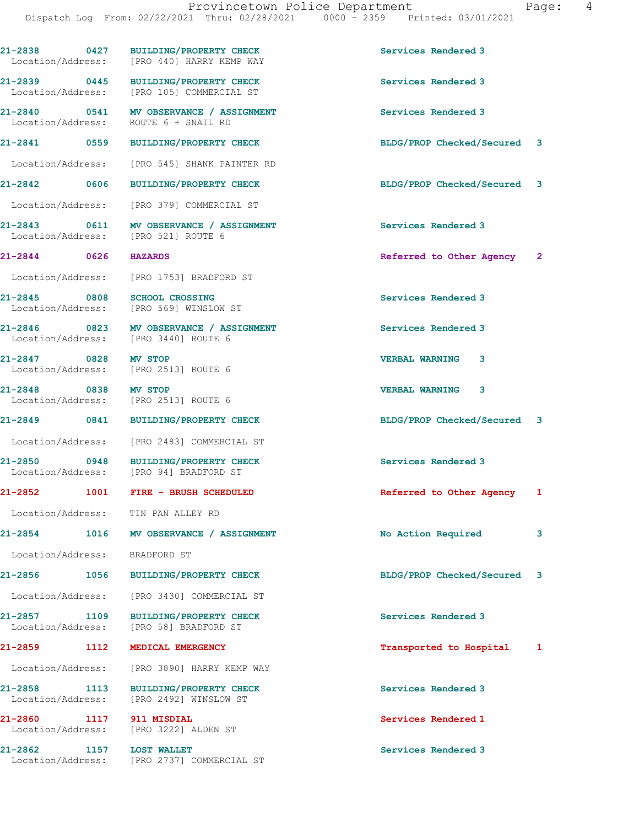21-2838 0427 BUILDING/PROPERTY CHECK Services Rendered 3 Location/Address: [PRO 440] HARRY KEMP WAY 21-2839 0445 BUILDING/PROPERTY CHECK Services Rendered 3 Location/Address: [PRO 105] COMMERCIAL ST 21-2840 0541 MV OBSERVANCE / ASSIGNMENT Services Rendered 3 Location/Address: ROUTE 6 + SNAIL RD 21-2841 0559 BUILDING/PROPERTY CHECK BLDG/PROP Checked/Secured 3 Location/Address: [PRO 545] SHANK PAINTER RD 21-2842 0606 BUILDING/PROPERTY CHECK BLDG/PROP Checked/Secured 3 Location/Address: [PRO 379] COMMERCIAL ST 21-2843 0611 MV OBSERVANCE / ASSIGNMENT Services Rendered 3<br>
Location/Address: [PRO 521] ROUTE 6 Location/Address: 21-2844 0626 HAZARDS Referred to Other Agency 2 Location/Address: [PRO 1753] BRADFORD ST 21-2845 0808 SCHOOL CROSSING<br>
Location/Address: [PRO 569] WINSLOW ST [PRO 569] WINSLOW ST 21-2846 0823 MV OBSERVANCE / ASSIGNMENT Services Rendered 3 Location/Address: [PRO 3440] ROUTE 6 21-2847 0828 MV STOP VERBAL WARNING 3 Location/Address: [PRO 2513] ROUTE 6 21-2848 0838 MV STOP VERBAL WARNING 3 Location/Address: [PRO 2513] ROUTE 6 21-2849 0841 BUILDING/PROPERTY CHECK BLDG/PROP Checked/Secured 3 Location/Address: [PRO 2483] COMMERCIAL ST 21-2850 0948 BUILDING/PROPERTY CHECK Services Rendered 3 Location/Address: [PRO 94] BRADFORD ST 21-2852 1001 FIRE - BRUSH SCHEDULED Referred to Other Agency 1 Location/Address: TIN PAN ALLEY RD 21-2854 1016 MV OBSERVANCE / ASSIGNMENT No Action Required 3 Location/Address: BRADFORD ST 21-2856 1056 BUILDING/PROPERTY CHECK BLDG/PROP Checked/Secured 3 Location/Address: [PRO 3430] COMMERCIAL ST 21-2857 1109 BUILDING/PROPERTY CHECK Services Rendered 3<br>
Location/Address: [PRO 58] BRADFORD ST [PRO 58] BRADFORD ST 21-2859 1112 MEDICAL EMERGENCY **120 12 MEDICAL EMERGENCY** 12 Transported to Hospital 1 Location/Address: [PRO 3890] HARRY KEMP WAY 21-2858 1113 BUILDING/PROPERTY CHECK Services Rendered 3 Location/Address: [PRO 2492] WINSLOW ST 21-2860 1117 911 MISDIAL Services Rendered 1 Location/Address: [PRO 3222] ALDEN ST 21-2862 1157 LOST WALLET Services Rendered 3

Location/Address: [PRO 2737] COMMERCIAL ST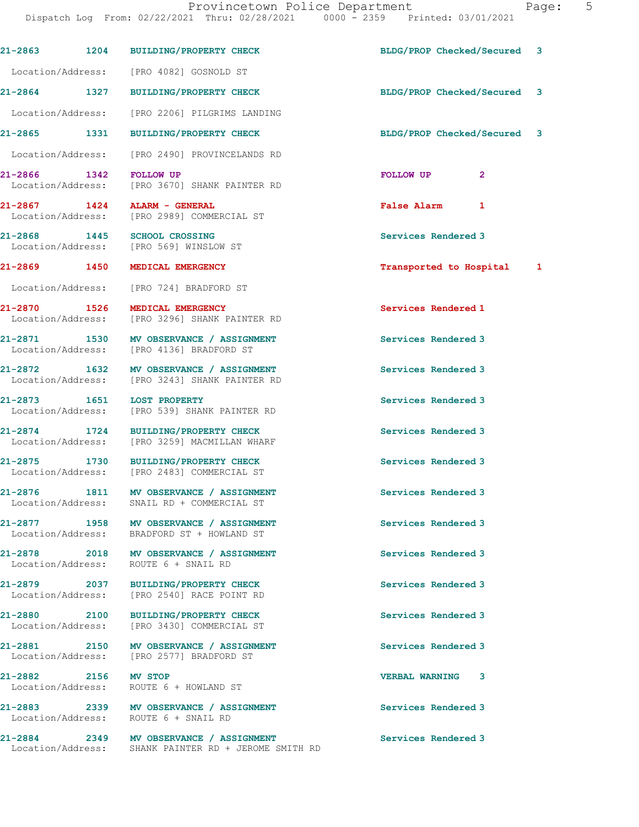Dispatch Log From: 02/22/2021 Thru: 02/28/2021 0000 - 2359 Printed: 03/01/2021 21-2863 1204 BUILDING/PROPERTY CHECK BLDG/PROP Checked/Secured 3 Location/Address: [PRO 4082] GOSNOLD ST 21-2864 1327 BUILDING/PROPERTY CHECK BLDG/PROP Checked/Secured 3 Location/Address: [PRO 2206] PILGRIMS LANDING 21-2865 1331 BUILDING/PROPERTY CHECK BLDG/PROP Checked/Secured 3 Location/Address: [PRO 2490] PROVINCELANDS RD 21-2866 1342 FOLLOW UP **Property Settings of Australian Control** 2<br>
2 Location/Address: [PRO 3670] SHANK PAINTER RD [PRO 3670] SHANK PAINTER RD 21-2867 1424 ALARM - GENERAL False Alarm 1 Location/Address: [PRO 2989] COMMERCIAL ST 21-2868 1445 SCHOOL CROSSING SERVICES Rendered 3 Location/Address: [PRO 569] WINSLOW ST 21-2869 1450 MEDICAL EMERGENCY Transported to Hospital 1 Location/Address: [PRO 724] BRADFORD ST 21-2870 1526 MEDICAL EMERGENCY Services Rendered 1 Location/Address: [PRO 3296] SHANK PAINTER RD 21-2871 1530 MV OBSERVANCE / ASSIGNMENT Services Rendered 3 Location/Address: [PRO 4136] BRADFORD ST 21-2872 1632 MV OBSERVANCE / ASSIGNMENT Services Rendered 3 Location/Address: [PRO 3243] SHANK PAINTER RD 21-2873 1651 LOST PROPERTY<br>
Location/Address: [PRO 539] SHANK PAINTER RD<br>
Location/Address: [PRO 539] SHANK PAINTER RD Location/Address: [PRO 539] SHANK PAINTER RD 21-2874 1724 BUILDING/PROPERTY CHECK Services Rendered 3 Location/Address: [PRO 3259] MACMILLAN WHARF 21-2875 1730 BUILDING/PROPERTY CHECK Services Rendered 3 Location/Address: [PRO 2483] COMMERCIAL ST 21-2876 1811 MV OBSERVANCE / ASSIGNMENT Services Rendered 3 Location/Address: SNAIL RD + COMMERCIAL ST 21-2877 1958 MV OBSERVANCE / ASSIGNMENT Services Rendered 3 Location/Address: BRADFORD ST + HOWLAND ST 21-2878 2018 MV OBSERVANCE / ASSIGNMENT Services Rendered 3 Location/Address: ROUTE 6 + SNAIL RD 21-2879 2037 BUILDING/PROPERTY CHECK Services Rendered 3 Location/Address: [PRO 2540] RACE POINT RD 21-2880 2100 BUILDING/PROPERTY CHECK Services Rendered 3 Location/Address: [PRO 3430] COMMERCIAL ST 21-2881 2150 MV OBSERVANCE / ASSIGNMENT Services Rendered 3 Location/Address: [PRO 2577] BRADFORD ST 21-2882 2156 MV STOP VERBAL WARNING 3 ROUTE 6 + HOWLAND ST 21-2883 2339 MV OBSERVANCE / ASSIGNMENT Services Rendered 3 Location/Address: ROUTE 6 + SNAIL RD 21-2884 2349 MV OBSERVANCE / ASSIGNMENT Services Rendered 3 Location/Address: SHANK PAINTER RD + JEROME SMITH RD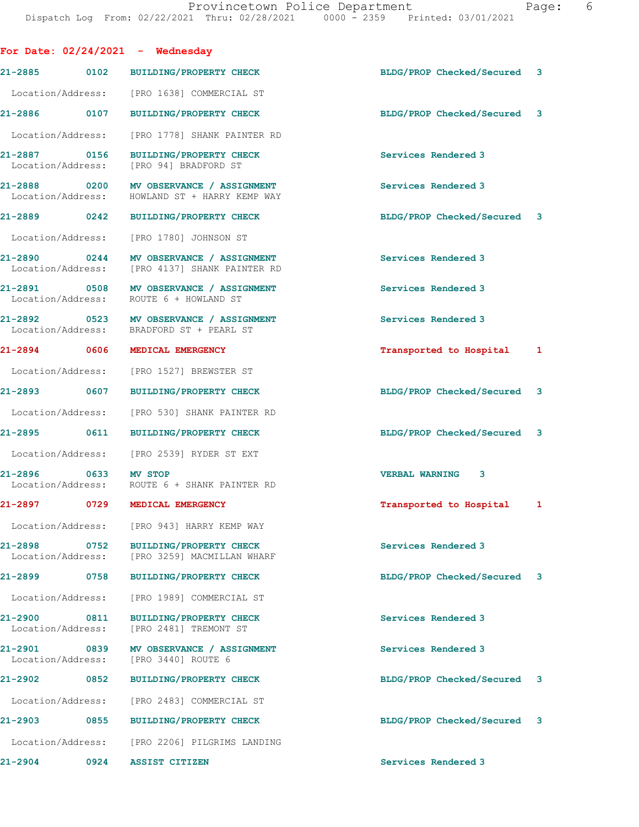|                                   |              | For Date: $02/24/2021$ - Wednesday                                                       |                             |   |
|-----------------------------------|--------------|------------------------------------------------------------------------------------------|-----------------------------|---|
|                                   |              | 21-2885 0102 BUILDING/PROPERTY CHECK                                                     | BLDG/PROP Checked/Secured 3 |   |
| Location/Address:                 |              | [PRO 1638] COMMERCIAL ST                                                                 |                             |   |
| 21-2886 0107                      |              | <b>BUILDING/PROPERTY CHECK</b>                                                           | BLDG/PROP Checked/Secured 3 |   |
|                                   |              | Location/Address: [PRO 1778] SHANK PAINTER RD                                            |                             |   |
| 21-2887 0156                      |              | <b>BUILDING/PROPERTY CHECK</b><br>Location/Address: [PRO 94] BRADFORD ST                 | Services Rendered 3         |   |
|                                   |              | 21-2888 0200 MV OBSERVANCE / ASSIGNMENT<br>Location/Address: HOWLAND ST + HARRY KEMP WAY | Services Rendered 3         |   |
| 21-2889 0242                      |              | <b>BUILDING/PROPERTY CHECK</b>                                                           | BLDG/PROP Checked/Secured 3 |   |
| Location/Address:                 |              | [PRO 1780] JOHNSON ST                                                                    |                             |   |
| 21-2890 0244<br>Location/Address: |              | MV OBSERVANCE / ASSIGNMENT<br>[PRO 4137] SHANK PAINTER RD                                | Services Rendered 3         |   |
| 21-2891 0508                      |              | MV OBSERVANCE / ASSIGNMENT<br>Location/Address: ROUTE 6 + HOWLAND ST                     | Services Rendered 3         |   |
|                                   |              | 21-2892 0523 MV OBSERVANCE / ASSIGNMENT<br>Location/Address: BRADFORD ST + PEARL ST      | Services Rendered 3         |   |
| 21-2894 0606                      |              | MEDICAL EMERGENCY                                                                        | Transported to Hospital 1   |   |
|                                   |              | Location/Address: [PRO 1527] BREWSTER ST                                                 |                             |   |
| 21-2893 0607                      |              | BUILDING/PROPERTY CHECK                                                                  | BLDG/PROP Checked/Secured 3 |   |
| Location/Address:                 |              | [PRO 530] SHANK PAINTER RD                                                               |                             |   |
| 21-2895 0611                      |              | <b>BUILDING/PROPERTY CHECK</b>                                                           | BLDG/PROP Checked/Secured 3 |   |
|                                   |              | Location/Address: [PRO 2539] RYDER ST EXT                                                |                             |   |
| 21-2896<br>Location/Address:      | 0633 MV STOP | ROUTE 6 + SHANK PAINTER RD                                                               | <b>VERBAL WARNING 3</b>     |   |
| 21-2897 0729                      |              | MEDICAL EMERGENCY                                                                        | Transported to Hospital     | 1 |
| Location/Address:                 |              | [PRO 943] HARRY KEMP WAY                                                                 |                             |   |
| 21-2898<br>Location/Address:      | 0752         | <b>BUILDING/PROPERTY CHECK</b><br>[PRO 3259] MACMILLAN WHARF                             | Services Rendered 3         |   |
| 21-2899                           | 0758         | <b>BUILDING/PROPERTY CHECK</b>                                                           | BLDG/PROP Checked/Secured 3 |   |
| Location/Address:                 |              | [PRO 1989] COMMERCIAL ST                                                                 |                             |   |
| 21-2900<br>Location/Address:      | 0811         | BUILDING/PROPERTY CHECK<br>[PRO 2481] TREMONT ST                                         | Services Rendered 3         |   |
| 21-2901<br>Location/Address:      | 0839         | MV OBSERVANCE / ASSIGNMENT<br>[PRO 3440] ROUTE 6                                         | Services Rendered 3         |   |
| 21-2902                           | 0852         | <b>BUILDING/PROPERTY CHECK</b>                                                           | BLDG/PROP Checked/Secured 3 |   |
| Location/Address:                 |              | [PRO 2483] COMMERCIAL ST                                                                 |                             |   |
| 21-2903                           | 0855         | <b>BUILDING/PROPERTY CHECK</b>                                                           | BLDG/PROP Checked/Secured 3 |   |
| Location/Address:                 |              | [PRO 2206] PILGRIMS LANDING                                                              |                             |   |
| $21 - 2904$                       | 0924         | <b>ASSIST CITIZEN</b>                                                                    | Services Rendered 3         |   |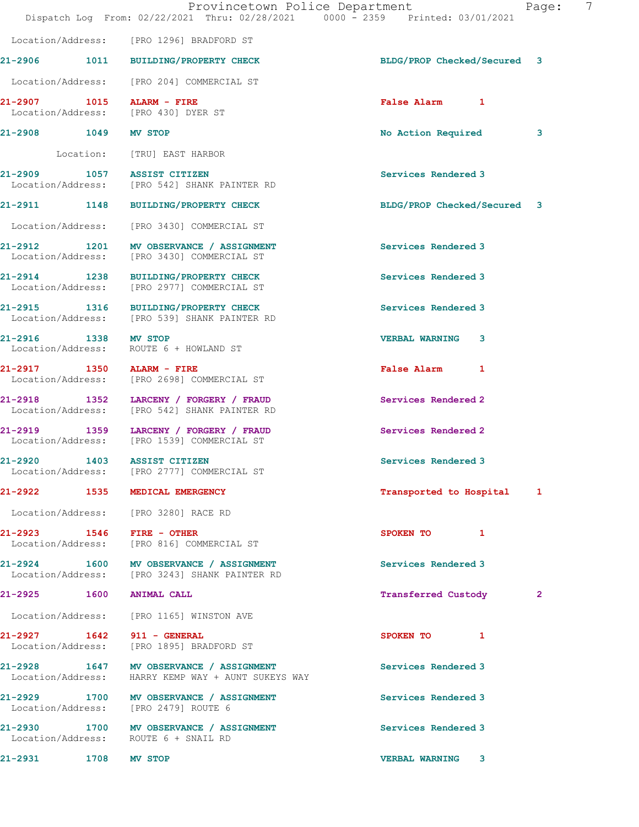|                             | Provincetown Police Department<br>Dispatch Log From: 02/22/2021 Thru: 02/28/2021 0000 - 2359 Printed: 03/01/2021 |                             | 7<br>Page:   |
|-----------------------------|------------------------------------------------------------------------------------------------------------------|-----------------------------|--------------|
|                             | Location/Address: [PRO 1296] BRADFORD ST                                                                         |                             |              |
|                             | 21-2906 1011 BUILDING/PROPERTY CHECK                                                                             | BLDG/PROP Checked/Secured 3 |              |
|                             | Location/Address: [PRO 204] COMMERCIAL ST                                                                        |                             |              |
| $21-2907$ 1015 ALARM - FIRE | Location/Address: [PRO 430] DYER ST                                                                              | False Alarm 1               |              |
| 21-2908 1049 MV STOP        |                                                                                                                  | No Action Required          | 3            |
|                             | Location: [TRU] EAST HARBOR                                                                                      |                             |              |
| 21-2909 1057 ASSIST CITIZEN | Location/Address: [PRO 542] SHANK PAINTER RD                                                                     | Services Rendered 3         |              |
|                             | 21-2911 1148 BUILDING/PROPERTY CHECK                                                                             | BLDG/PROP Checked/Secured 3 |              |
|                             | Location/Address: [PRO 3430] COMMERCIAL ST                                                                       |                             |              |
|                             | 21-2912 1201 MV OBSERVANCE / ASSIGNMENT<br>Location/Address: [PRO 3430] COMMERCIAL ST                            | Services Rendered 3         |              |
|                             | 21-2914 1238 BUILDING/PROPERTY CHECK<br>Location/Address: [PRO 2977] COMMERCIAL ST                               | Services Rendered 3         |              |
|                             | 21-2915 1316 BUILDING/PROPERTY CHECK<br>Location/Address: [PRO 539] SHANK PAINTER RD                             | Services Rendered 3         |              |
| 21-2916 1338 MV STOP        | Location/Address: ROUTE 6 + HOWLAND ST                                                                           | <b>VERBAL WARNING 3</b>     |              |
|                             | 21-2917 1350 ALARM - FIRE<br>Location/Address: [PRO 2698] COMMERCIAL ST                                          | False Alarm 1               |              |
|                             | 21-2918 1352 LARCENY / FORGERY / FRAUD<br>Location/Address: [PRO 542] SHANK PAINTER RD                           | Services Rendered 2         |              |
|                             | 21-2919 1359 LARCENY / FORGERY / FRAUD<br>Location/Address: [PRO 1539] COMMERCIAL ST                             | Services Rendered 2         |              |
| 21-2920 1403 ASSIST CITIZEN | Location/Address: [PRO 2777] COMMERCIAL ST                                                                       | Services Rendered 3         |              |
|                             | 21-2922 1535 MEDICAL EMERGENCY                                                                                   | Transported to Hospital 1   |              |
|                             | Location/Address: [PRO 3280] RACE RD                                                                             |                             |              |
| 21-2923 1546 FIRE - OTHER   | Location/Address: [PRO 816] COMMERCIAL ST                                                                        | SPOKEN TO 1                 |              |
|                             | 21-2924 1600 MV OBSERVANCE / ASSIGNMENT<br>Location/Address: [PRO 3243] SHANK PAINTER RD                         | Services Rendered 3         |              |
| 21-2925 1600 ANIMAL CALL    |                                                                                                                  | Transferred Custody         | $\mathbf{2}$ |
|                             | Location/Address: [PRO 1165] WINSTON AVE                                                                         |                             |              |
| 21-2927 1642 911 - GENERAL  | Location/Address: [PRO 1895] BRADFORD ST                                                                         | SPOKEN TO 1                 |              |
|                             | 21-2928 1647 MV OBSERVANCE / ASSIGNMENT<br>Location/Address: HARRY KEMP WAY + AUNT SUKEYS WAY                    | Services Rendered 3         |              |
|                             | 21-2929 1700 MV OBSERVANCE / ASSIGNMENT<br>Location/Address: [PRO 2479] ROUTE 6                                  | Services Rendered 3         |              |
|                             | 21-2930 1700 MV OBSERVANCE / ASSIGNMENT<br>Location/Address: ROUTE 6 + SNAIL RD                                  | Services Rendered 3         |              |
| 21-2931 1708 MV STOP        |                                                                                                                  | <b>VERBAL WARNING 3</b>     |              |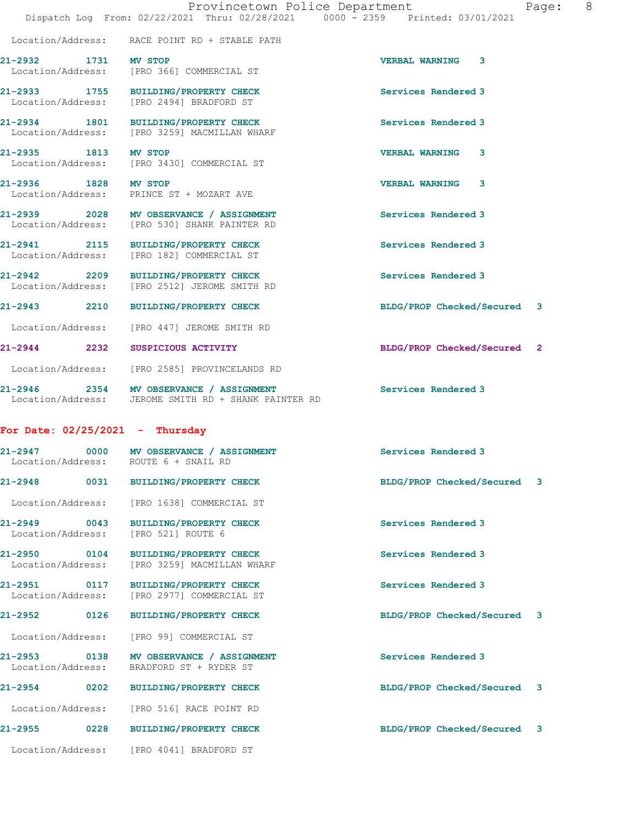|                      |                                                                                                 | Provincetown Police Department<br>Page: 8                                      |  |
|----------------------|-------------------------------------------------------------------------------------------------|--------------------------------------------------------------------------------|--|
|                      |                                                                                                 | Dispatch Log From: 02/22/2021 Thru: 02/28/2021 0000 - 2359 Printed: 03/01/2021 |  |
|                      | Location/Address: RACE POINT RD + STABLE PATH                                                   |                                                                                |  |
| 21-2932 1731 MV STOP | Location/Address: [PRO 366] COMMERCIAL ST                                                       | VERBAL WARNING 3                                                               |  |
|                      | 21-2933 1755 BUILDING/PROPERTY CHECK<br>Location/Address: [PRO 2494] BRADFORD ST                | Services Rendered 3                                                            |  |
|                      | 21-2934 1801 BUILDING/PROPERTY CHECK<br>Location/Address: [PRO 3259] MACMILLAN WHARF            | Services Rendered 3                                                            |  |
| 21-2935 1813 MV STOP | Location/Address: [PRO 3430] COMMERCIAL ST                                                      | <b>VERBAL WARNING 3</b>                                                        |  |
| 21-2936 1828 MV STOP | Location/Address: PRINCE ST + MOZART AVE                                                        | <b>VERBAL WARNING 3</b>                                                        |  |
|                      | 21-2939 2028 MV OBSERVANCE / ASSIGNMENT<br>Location/Address: [PRO 530] SHANK PAINTER RD         | Services Rendered 3                                                            |  |
|                      | 21-2941 2115 BUILDING/PROPERTY CHECK<br>Location/Address: [PRO 182] COMMERCIAL ST               | Services Rendered 3                                                            |  |
|                      | 21-2942 2209 BUILDING/PROPERTY CHECK<br>Location/Address: [PRO 2512] JEROME SMITH RD            | Services Rendered 3                                                            |  |
|                      | 21-2943 2210 BUILDING/PROPERTY CHECK                                                            | BLDG/PROP Checked/Secured 3                                                    |  |
|                      | Location/Address: [PRO 447] JEROME SMITH RD                                                     |                                                                                |  |
|                      | 21-2944 2232 SUSPICIOUS ACTIVITY                                                                | BLDG/PROP Checked/Secured 2                                                    |  |
|                      | Location/Address: [PRO 2585] PROVINCELANDS RD                                                   |                                                                                |  |
|                      | 21-2946 2354 MV OBSERVANCE / ASSIGNMENT<br>Location/Address: JEROME SMITH RD + SHANK PAINTER RD | Services Rendered 3                                                            |  |
|                      | For Date: $02/25/2021$ - Thursday                                                               |                                                                                |  |
| 21-2947              | 0000 MV OBSERVANCE / ASSIGNMENT                                                                 | Services Rendered 3                                                            |  |

 Location/Address: ROUTE 6 + SNAIL RD 21-2948 0031 BUILDING/PROPERTY CHECK BLDG/PROP Checked/Secured 3

Location/Address: [PRO 1638] COMMERCIAL ST

21-2949 0043 BUILDING/PROPERTY CHECK Services Rendered 3 Location/Address: [PRO 521] ROUTE 6

21-2950 0104 BUILDING/PROPERTY CHECK Services Rendered 3 Location/Address: [PRO 3259] MACMILLAN WHARF

Location/Address: [PRO 2977] COMMERCIAL ST

Location/Address: [PRO 99] COMMERCIAL ST

Location/Address: BRADFORD ST + RYDER ST

21-2954 0202 BUILDING/PROPERTY CHECK BLDG/PROP Checked/Secured 3

Location/Address: [PRO 516] RACE POINT RD

21-2955 0228 BUILDING/PROPERTY CHECK BLDG/PROP Checked/Secured 3

Location/Address: [PRO 4041] BRADFORD ST

21-2951 0117 BUILDING/PROPERTY CHECK Services Rendered 3

21-2952 0126 BUILDING/PROPERTY CHECK BLDG/PROP Checked/Secured 3

21-2953 0138 MV OBSERVANCE / ASSIGNMENT Services Rendered 3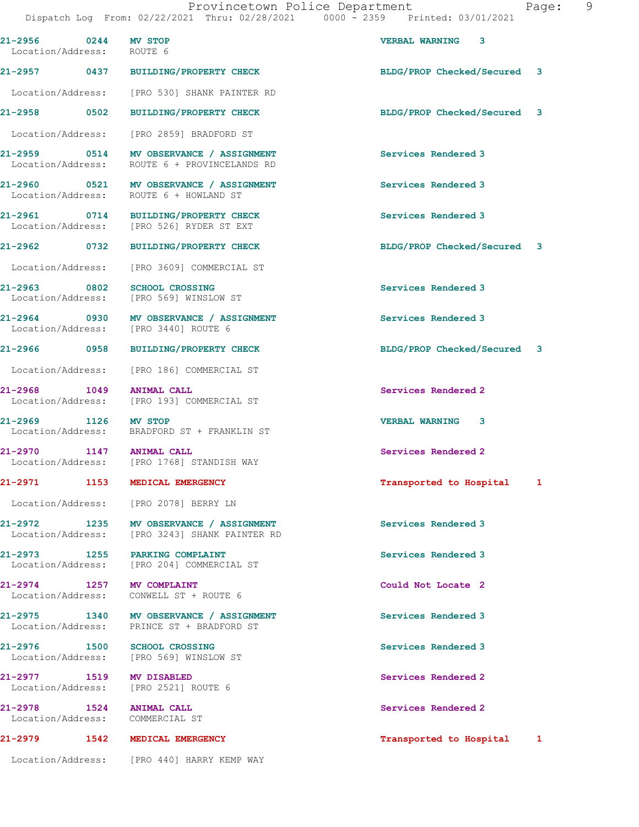Dispatch Log From: 02/22/2021 Thru: 02/28/2021 0000 - 2359 Printed: 03/01/2021 21-2956 0244 MV STOP VERBAL WARNING 3 Location/Address: ROUTE 6 21-2957 0437 BUILDING/PROPERTY CHECK BLDG/PROP Checked/Secured 3 Location/Address: [PRO 530] SHANK PAINTER RD 21-2958 0502 BUILDING/PROPERTY CHECK BLDG/PROP Checked/Secured 3 Location/Address: [PRO 2859] BRADFORD ST 21-2959 0514 MV OBSERVANCE / ASSIGNMENT Services Rendered 3 Location/Address: ROUTE 6 + PROVINCELANDS RD 21-2960 0521 MV OBSERVANCE / ASSIGNMENT Services Rendered 3 Location/Address: ROUTE 6 + HOWLAND ST 21-2961 0714 BUILDING/PROPERTY CHECK Services Rendered 3 Location/Address: [PRO 526] RYDER ST EXT 21-2962 0732 BUILDING/PROPERTY CHECK BLDG/PROP Checked/Secured 3 Location/Address: [PRO 3609] COMMERCIAL ST 21-2963 0802 SCHOOL CROSSING Services Rendered 3 Location/Address: 21-2964 0930 MV OBSERVANCE / ASSIGNMENT Services Rendered 3 Location/Address: [PRO 3440] ROUTE 6 21-2966 0958 BUILDING/PROPERTY CHECK BLDG/PROP Checked/Secured 3 Location/Address: [PRO 186] COMMERCIAL ST 21-2968 1049 ANIMAL CALL Services Rendered 2 Location/Address: [PRO 193] COMMERCIAL ST 21-2969 1126 MV STOP VERBAL WARNING 3 Location/Address: BRADFORD ST + FRANKLIN ST 21-2970 1147 ANIMAL CALL 21-2970 Services Rendered 2 Location/Address: [PRO 1768] STANDISH WAY 21-2971 1153 MEDICAL EMERGENCY 120 1 12 Transported to Hospital 1 Location/Address: [PRO 2078] BERRY LN 21-2972 1235 MV OBSERVANCE / ASSIGNMENT Services Rendered 3 Location/Address: [PRO 3243] SHANK PAINTER RD 21-2973 1255 PARKING COMPLAINT (2018) 21-2973 1255 PARKING COMPLAINT ST Services Rendered 3 [PRO 204] COMMERCIAL ST 21-2974 1257 MV COMPLAINT<br>
Location/Address: CONWELL ST + ROUTE 6 Location/Address: 21-2975 1340 MV OBSERVANCE / ASSIGNMENT Services Rendered 3 Location/Address: PRINCE ST + BRADFORD ST 21-2976 1500 SCHOOL CROSSING Services Rendered 3 Location/Address: [PRO 569] WINSLOW ST 21-2977 1519 MV DISABLED 2000 Services Rendered 2 Location/Address: [PRO 2521] ROUTE 6 21-2978 1524 ANIMAL CALL Services Rendered 2 Location/Address: COMMERCIAL ST 21-2979 1542 MEDICAL EMERGENCY **120 121-2979** Transported to Hospital 1 Location/Address: [PRO 440] HARRY KEMP WAY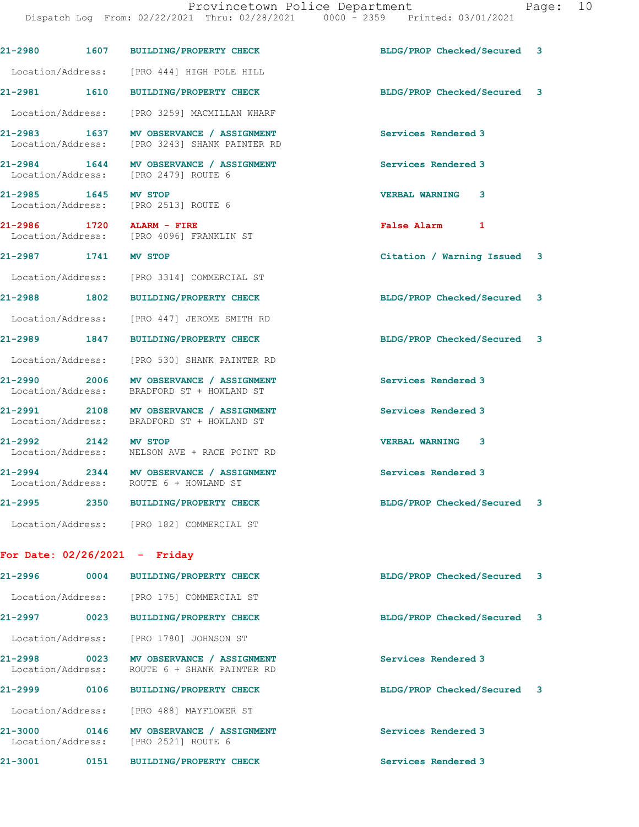|                                   | 21-2980 1607 BUILDING/PROPERTY CHECK                                                    | BLDG/PROP Checked/Secured 3 |  |
|-----------------------------------|-----------------------------------------------------------------------------------------|-----------------------------|--|
|                                   | Location/Address: [PRO 444] HIGH POLE HILL                                              |                             |  |
| 21-2981 1610                      | <b>BUILDING/PROPERTY CHECK</b>                                                          | BLDG/PROP Checked/Secured 3 |  |
| Location/Address:                 | [PRO 3259] MACMILLAN WHARF                                                              |                             |  |
| 21-2983 1637<br>Location/Address: | MV OBSERVANCE / ASSIGNMENT<br>[PRO 3243] SHANK PAINTER RD                               | Services Rendered 3         |  |
|                                   | 21-2984 1644 MV OBSERVANCE / ASSIGNMENT<br>Location/Address: [PRO 2479] ROUTE 6         | Services Rendered 3         |  |
| 21-2985 1645                      | MV STOP<br>Location/Address: [PRO 2513] ROUTE 6                                         | VERBAL WARNING 3            |  |
|                                   | 21-2986 1720 ALARM - FIRE<br>Location/Address: [PRO 4096] FRANKLIN ST                   | False Alarm 1               |  |
| 21-2987 1741                      | MV STOP                                                                                 | Citation / Warning Issued 3 |  |
|                                   | Location/Address: [PRO 3314] COMMERCIAL ST                                              |                             |  |
| 21-2988 1802                      | <b>BUILDING/PROPERTY CHECK</b>                                                          | BLDG/PROP Checked/Secured 3 |  |
|                                   | Location/Address: [PRO 447] JEROME SMITH RD                                             |                             |  |
| 21-2989 1847                      | <b>BUILDING/PROPERTY CHECK</b>                                                          | BLDG/PROP Checked/Secured 3 |  |
|                                   | Location/Address: [PRO 530] SHANK PAINTER RD                                            |                             |  |
|                                   | 21-2990 2006 MV OBSERVANCE / ASSIGNMENT<br>Location/Address: BRADFORD ST + HOWLAND ST   | Services Rendered 3         |  |
|                                   | 21-2991 2108 MV OBSERVANCE / ASSIGNMENT<br>Location/Address: BRADFORD ST + HOWLAND ST   | Services Rendered 3         |  |
| 21-2992 2142 MV STOP              | Location/Address: NELSON AVE + RACE POINT RD                                            | <b>VERBAL WARNING 3</b>     |  |
|                                   | 21-2994 2344 MV OBSERVANCE / ASSIGNMENT<br>Location/Address: ROUTE 6 + HOWLAND ST       | Services Rendered 3         |  |
|                                   | 21-2995 2350 BUILDING/PROPERTY CHECK                                                    | BLDG/PROP Checked/Secured 3 |  |
|                                   | Location/Address: [PRO 182] COMMERCIAL ST                                               |                             |  |
| For Date: $02/26/2021$ - Friday   |                                                                                         |                             |  |
|                                   | 21-2996 0004 BUILDING/PROPERTY CHECK                                                    | BLDG/PROP Checked/Secured 3 |  |
|                                   | Location/Address: [PRO 175] COMMERCIAL ST                                               |                             |  |
|                                   | 21-2997 0023 BUILDING/PROPERTY CHECK                                                    | BLDG/PROP Checked/Secured 3 |  |
|                                   | Location/Address: [PRO 1780] JOHNSON ST                                                 |                             |  |
|                                   | 21-2998 0023 MV OBSERVANCE / ASSIGNMENT<br>Location/Address: ROUTE 6 + SHANK PAINTER RD | Services Rendered 3         |  |
|                                   | 21-2999 0106 BUILDING/PROPERTY CHECK                                                    | BLDG/PROP Checked/Secured 3 |  |
|                                   | Location/Address: [PRO 488] MAYFLOWER ST                                                |                             |  |
|                                   | 21-3000 0146 MV OBSERVANCE / ASSIGNMENT<br>Location/Address: [PRO 2521] ROUTE 6         | Services Rendered 3         |  |
|                                   | 21-3001 0151 BUILDING/PROPERTY CHECK                                                    | Services Rendered 3         |  |
|                                   |                                                                                         |                             |  |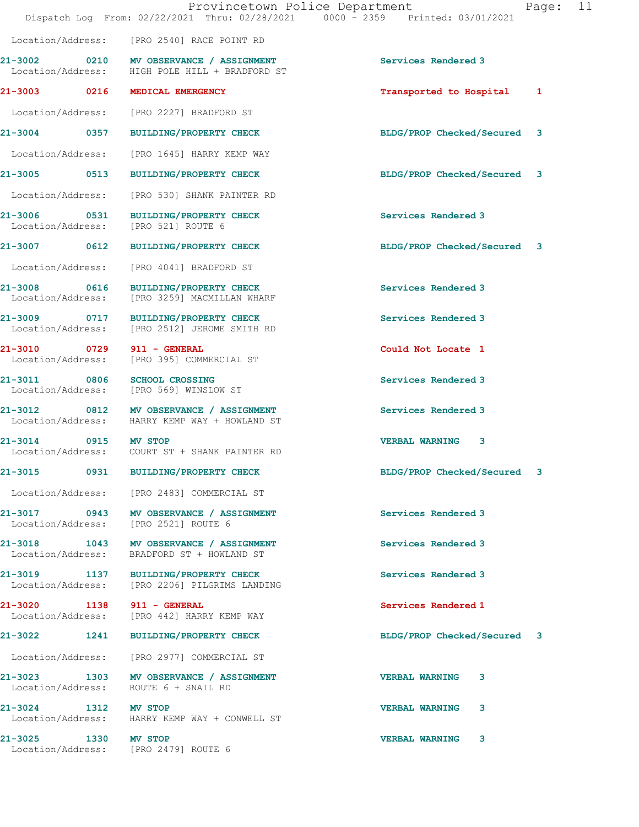|                                   | Dispatch Log From: 02/22/2021 Thru: 02/28/2021 0000 - 2359 Printed: 03/01/2021            | Provincetown Police Department<br>Page: 11 |  |
|-----------------------------------|-------------------------------------------------------------------------------------------|--------------------------------------------|--|
|                                   | Location/Address: [PRO 2540] RACE POINT RD                                                |                                            |  |
|                                   | 21-3002 0210 MV OBSERVANCE / ASSIGNMENT<br>Location/Address: HIGH POLE HILL + BRADFORD ST | Services Rendered 3                        |  |
|                                   | 21-3003 0216 MEDICAL EMERGENCY                                                            | Transported to Hospital 1                  |  |
|                                   | Location/Address: [PRO 2227] BRADFORD ST                                                  |                                            |  |
|                                   | 21-3004 0357 BUILDING/PROPERTY CHECK                                                      | BLDG/PROP Checked/Secured 3                |  |
|                                   | Location/Address: [PRO 1645] HARRY KEMP WAY                                               |                                            |  |
|                                   | 21-3005 0513 BUILDING/PROPERTY CHECK                                                      | BLDG/PROP Checked/Secured 3                |  |
|                                   | Location/Address: [PRO 530] SHANK PAINTER RD                                              |                                            |  |
|                                   | 21-3006 0531 BUILDING/PROPERTY CHECK<br>Location/Address: [PRO 521] ROUTE 6               | Services Rendered 3                        |  |
|                                   | 21-3007 0612 BUILDING/PROPERTY CHECK                                                      | BLDG/PROP Checked/Secured 3                |  |
| Location/Address:                 | [PRO 4041] BRADFORD ST                                                                    |                                            |  |
| 21-3008 0616<br>Location/Address: | BUILDING/PROPERTY CHECK<br>[PRO 3259] MACMILLAN WHARF                                     | Services Rendered 3                        |  |
| Location/Address:                 | 21-3009 0717 BUILDING/PROPERTY CHECK<br>[PRO 2512] JEROME SMITH RD                        | Services Rendered 3                        |  |
|                                   | 21-3010 0729 911 - GENERAL<br>Location/Address: [PRO 395] COMMERCIAL ST                   | Could Not Locate 1                         |  |
|                                   | 21-3011 0806 SCHOOL CROSSING<br>Location/Address: [PRO 569] WINSLOW ST                    | Services Rendered 3                        |  |
|                                   | 21-3012 0812 MV OBSERVANCE / ASSIGNMENT<br>Location/Address: HARRY KEMP WAY + HOWLAND ST  | Services Rendered 3                        |  |
| 21-3014 0915 MV STOP              | Location/Address: COURT ST + SHANK PAINTER RD                                             | <b>VERBAL WARNING 3</b>                    |  |
|                                   | 21-3015 0931 BUILDING/PROPERTY CHECK                                                      | BLDG/PROP Checked/Secured 3                |  |
|                                   | Location/Address: [PRO 2483] COMMERCIAL ST                                                |                                            |  |
|                                   | 21-3017 0943 MV OBSERVANCE / ASSIGNMENT<br>Location/Address: [PRO 2521] ROUTE 6           | Services Rendered 3                        |  |
| Location/Address:                 | 21-3018 1043 MV OBSERVANCE / ASSIGNMENT<br>BRADFORD ST + HOWLAND ST                       | Services Rendered 3                        |  |
|                                   | 21-3019 1137 BUILDING/PROPERTY CHECK<br>Location/Address: [PRO 2206] PILGRIMS LANDING     | Services Rendered 3                        |  |
|                                   | 21-3020 1138 911 - GENERAL<br>Location/Address: [PRO 442] HARRY KEMP WAY                  | Services Rendered 1                        |  |
|                                   | 21-3022 1241 BUILDING/PROPERTY CHECK                                                      | BLDG/PROP Checked/Secured 3                |  |
|                                   | Location/Address: [PRO 2977] COMMERCIAL ST                                                |                                            |  |
|                                   | 21-3023 1303 MV OBSERVANCE / ASSIGNMENT<br>Location/Address: ROUTE 6 + SNAIL RD           | <b>VERBAL WARNING</b><br>3                 |  |
|                                   | 21-3024 1312 MV STOP<br>Location/Address: HARRY KEMP WAY + CONWELL ST                     | <b>VERBAL WARNING 3</b>                    |  |
| 21-3025 1330 MV STOP              | Location/Address: [PRO 2479] ROUTE 6                                                      | <b>VERBAL WARNING</b><br>3                 |  |
|                                   |                                                                                           |                                            |  |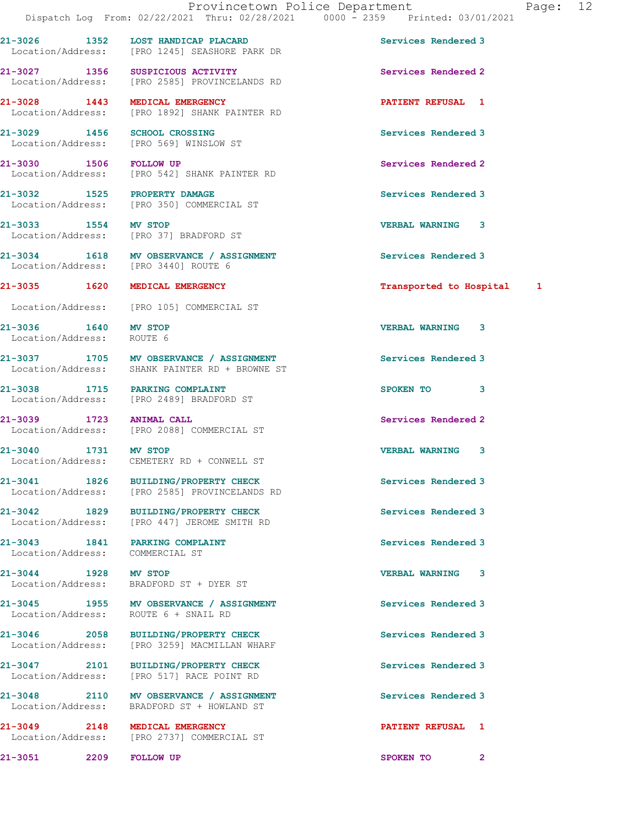21-3026 1352 LOST HANDICAP PLACARD Services Rendered 3

 Location/Address: [PRO 1245] SEASHORE PARK DR 21-3027 1356 SUSPICIOUS ACTIVITY Services Rendered 2 Location/Address: [PRO 2585] PROVINCELANDS RD 21-3028 1443 MEDICAL EMERGENCY PATIENT REFUSAL 1 Location/Address: [PRO 1892] SHANK PAINTER RD 21-3029 1456 SCHOOL CROSSING<br>
Location/Address: [PRO 569] WINSLOW ST [PRO 569] WINSLOW ST 21-3030 1506 FOLLOW UP Services Rendered 2 Location/Address: [PRO 542] SHANK PAINTER RD 21-3032 1525 PROPERTY DAMAGE Services Rendered 3 Location/Address: [PRO 350] COMMERCIAL ST 21-3033 1554 MV STOP 121-3033 21-3033 1554 MV STOP 121-3033 21-3033 21-3033 21-3034 1554 MARNING 3 [PRO 37] BRADFORD ST 21-3034 1618 MV OBSERVANCE / ASSIGNMENT Services Rendered 3 Location/Address: [PRO 3440] ROUTE 6 21-3035 1620 MEDICAL EMERGENCY Transported to Hospital 1 Location/Address: [PRO 105] COMMERCIAL ST 21-3036 1640 MV STOP VERBAL WARNING 3 Location/Address: ROUTE 6 21-3037 1705 MV OBSERVANCE / ASSIGNMENT Services Rendered 3 Location/Address: SHANK PAINTER RD + BROWNE ST 21-3038 1715 PARKING COMPLAINT SPOKEN TO 3 Location/Address: [PRO 2489] BRADFORD ST 21-3039 1723 ANIMAL CALL Services Rendered 2 Location/Address: [PRO 2088] COMMERCIAL ST 21-3040 1731 MV STOP VERBAL WARNING 3 Location/Address: CEMETERY RD + CONWELL ST 21-3041 1826 BUILDING/PROPERTY CHECK Services Rendered 3 Location/Address: [PRO 2585] PROVINCELANDS RD 21-3042 1829 BUILDING/PROPERTY CHECK Services Rendered 3 Location/Address: [PRO 447] JEROME SMITH RD 21-3043 1841 PARKING COMPLAINT Services Rendered 3 Location/Address: COMMERCIAL ST 21-3044 1928 MV STOP 1928 21-3044 1928 MV STOP 1928 1928 1931 1928 1931 1928 1931 1932 1934 1938 1940 1940 19<br>
Location/Address: BRADFORD ST + DYER ST BRADFORD ST + DYER ST 21-3045 1955 MV OBSERVANCE / ASSIGNMENT Services Rendered 3 Location/Address: ROUTE 6 + SNAIL RD 21-3046 2058 BUILDING/PROPERTY CHECK Services Rendered 3 Location/Address: [PRO 3259] MACMILLAN WHARF 21-3047 2101 BUILDING/PROPERTY CHECK Services Rendered 3 Location/Address: [PRO 517] RACE POINT RD 21-3048 2110 MV OBSERVANCE / ASSIGNMENT Services Rendered 3 Location/Address: BRADFORD ST + HOWLAND ST 21-3049 2148 MEDICAL EMERGENCY 20149 PATIENT REFUSAL 1<br>
Location/Address: [PRO 2737] COMMERCIAL ST [PRO 2737] COMMERCIAL ST 21-3051 2209 FOLLOW UP SPOKEN TO 2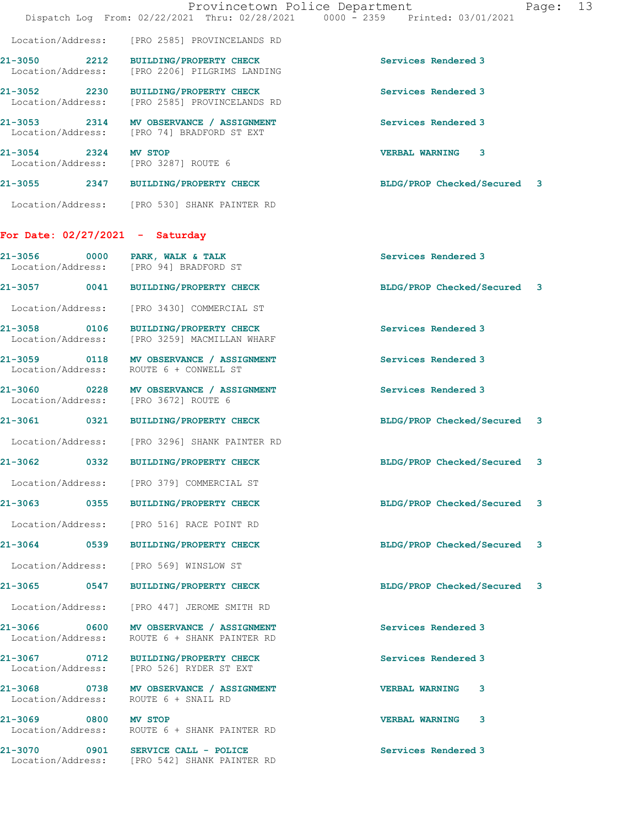|                                                              | Provincetown Police Department<br>Dispatch Log From: 02/22/2021 Thru: 02/28/2021 0000 - 2359 Printed: 03/01/2021 |                             | Page: 13 |  |
|--------------------------------------------------------------|------------------------------------------------------------------------------------------------------------------|-----------------------------|----------|--|
|                                                              | Location/Address: [PRO 2585] PROVINCELANDS RD                                                                    |                             |          |  |
| Location/Address:                                            | 21-3050 2212 BUILDING/PROPERTY CHECK<br>[PRO 2206] PILGRIMS LANDING                                              | Services Rendered 3         |          |  |
|                                                              | 21-3052 2230 BUILDING/PROPERTY CHECK<br>Location/Address: [PRO 2585] PROVINCELANDS RD                            | Services Rendered 3         |          |  |
|                                                              | 21-3053 2314 MV OBSERVANCE / ASSIGNMENT<br>Location/Address: [PRO 74] BRADFORD ST EXT                            | Services Rendered 3         |          |  |
| 21-3054 2324 MV STOP<br>Location/Address: [PRO 3287] ROUTE 6 |                                                                                                                  | <b>VERBAL WARNING</b><br>3  |          |  |
|                                                              | 21-3055 2347 BUILDING/PROPERTY CHECK                                                                             | BLDG/PROP Checked/Secured 3 |          |  |
|                                                              | Location/Address: [PRO 530] SHANK PAINTER RD                                                                     |                             |          |  |
| For Date: $02/27/2021$ - Saturday                            |                                                                                                                  |                             |          |  |
| 21-3056 0000 PARK, WALK & TALK                               | Location/Address: [PRO 94] BRADFORD ST                                                                           | Services Rendered 3         |          |  |
|                                                              | 21-3057 0041 BUILDING/PROPERTY CHECK                                                                             | BLDG/PROP Checked/Secured 3 |          |  |
|                                                              | Location/Address: [PRO 3430] COMMERCIAL ST                                                                       |                             |          |  |
|                                                              | 21-3058 0106 BUILDING/PROPERTY CHECK<br>Location/Address: [PRO 3259] MACMILLAN WHARF                             | Services Rendered 3         |          |  |
| Location/Address: ROUTE 6 + CONWELL ST                       | 21-3059 0118 MV OBSERVANCE / ASSIGNMENT                                                                          | Services Rendered 3         |          |  |
|                                                              | 21-3060 0228 MV OBSERVANCE / ASSIGNMENT<br>Location/Address: [PRO 3672] ROUTE 6                                  | Services Rendered 3         |          |  |
|                                                              | 21-3061 0321 BUILDING/PROPERTY CHECK                                                                             | BLDG/PROP Checked/Secured 3 |          |  |
|                                                              | Location/Address: [PRO 3296] SHANK PAINTER RD                                                                    |                             |          |  |
| $21 - 3062$                                                  | 0332 BUILDING/PROPERTY CHECK                                                                                     | BLDG/PROP Checked/Secured 3 |          |  |
|                                                              | Location/Address: [PRO 379] COMMERCIAL ST                                                                        |                             |          |  |
|                                                              | 21-3063 0355 BUILDING/PROPERTY CHECK                                                                             | BLDG/PROP Checked/Secured 3 |          |  |
|                                                              | Location/Address: [PRO 516] RACE POINT RD                                                                        |                             |          |  |
|                                                              | 21-3064 0539 BUILDING/PROPERTY CHECK                                                                             | BLDG/PROP Checked/Secured 3 |          |  |
|                                                              | Location/Address: [PRO 569] WINSLOW ST                                                                           |                             |          |  |
|                                                              | 21-3065 0547 BUILDING/PROPERTY CHECK                                                                             | BLDG/PROP Checked/Secured 3 |          |  |
|                                                              | Location/Address: [PRO 447] JEROME SMITH RD                                                                      |                             |          |  |
| Location/Address:                                            | 21-3066 0600 MV OBSERVANCE / ASSIGNMENT<br>ROUTE 6 + SHANK PAINTER RD                                            | Services Rendered 3         |          |  |
|                                                              | 21-3067 0712 BUILDING/PROPERTY CHECK<br>Location/Address: [PRO 526] RYDER ST EXT                                 | Services Rendered 3         |          |  |
| Location/Address:                                            | 21-3068 0738 MV OBSERVANCE / ASSIGNMENT<br>ROUTE 6 + SNAIL RD                                                    | <b>VERBAL WARNING</b><br>3  |          |  |
| 21-3069 0800 MV STOP                                         | Location/Address: ROUTE 6 + SHANK PAINTER RD                                                                     | <b>VERBAL WARNING</b><br>3  |          |  |
|                                                              | 21-3070 0901 SERVICE CALL - POLICE<br>Location/Address: [PRO 542] SHANK PAINTER RD                               | Services Rendered 3         |          |  |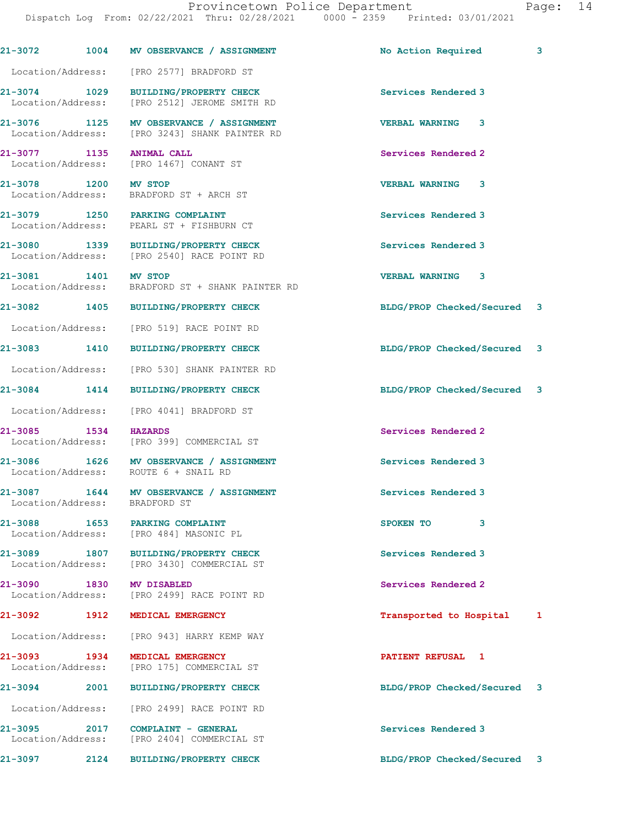|                                   |      | 21-3072 1004 MV OBSERVANCE / ASSIGNMENT                                                  | No Action Required          | 3 |
|-----------------------------------|------|------------------------------------------------------------------------------------------|-----------------------------|---|
|                                   |      | Location/Address: [PRO 2577] BRADFORD ST                                                 |                             |   |
| 21-3074 1029                      |      | BUILDING/PROPERTY CHECK<br>Location/Address: [PRO 2512] JEROME SMITH RD                  | Services Rendered 3         |   |
|                                   |      | 21-3076 1125 MV OBSERVANCE / ASSIGNMENT<br>Location/Address: [PRO 3243] SHANK PAINTER RD | 3<br><b>VERBAL WARNING</b>  |   |
|                                   |      | 21-3077 1135 ANIMAL CALL<br>Location/Address: [PRO 1467] CONANT ST                       | Services Rendered 2         |   |
| 21-3078 1200 MV STOP              |      | Location/Address: BRADFORD ST + ARCH ST                                                  | <b>VERBAL WARNING 3</b>     |   |
|                                   |      | 21-3079 1250 PARKING COMPLAINT<br>Location/Address: PEARL ST + FISHBURN CT               | Services Rendered 3         |   |
|                                   |      | 21-3080 1339 BUILDING/PROPERTY CHECK<br>Location/Address: [PRO 2540] RACE POINT RD       | Services Rendered 3         |   |
| 21-3081 1401 MV STOP              |      | Location/Address: BRADFORD ST + SHANK PAINTER RD                                         | <b>VERBAL WARNING 3</b>     |   |
|                                   |      | 21-3082 1405 BUILDING/PROPERTY CHECK                                                     | BLDG/PROP Checked/Secured 3 |   |
|                                   |      | Location/Address: [PRO 519] RACE POINT RD                                                |                             |   |
|                                   |      | 21-3083 1410 BUILDING/PROPERTY CHECK                                                     | BLDG/PROP Checked/Secured   | 3 |
|                                   |      | Location/Address: [PRO 530] SHANK PAINTER RD                                             |                             |   |
|                                   |      | 21-3084 1414 BUILDING/PROPERTY CHECK                                                     | BLDG/PROP Checked/Secured 3 |   |
|                                   |      | Location/Address: [PRO 4041] BRADFORD ST                                                 |                             |   |
| 21-3085 1534                      |      | <b>HAZARDS</b><br>Location/Address: [PRO 399] COMMERCIAL ST                              | Services Rendered 2         |   |
|                                   |      | 21-3086 1626 MV OBSERVANCE / ASSIGNMENT<br>Location/Address: ROUTE 6 + SNAIL RD          | Services Rendered 3         |   |
| Location/Address:                 |      | 21-3087 1644 MV OBSERVANCE / ASSIGNMENT<br>BRADFORD ST                                   | Services Rendered 3         |   |
| 21-3088                           | 1653 | PARKING COMPLAINT<br>Location/Address: [PRO 484] MASONIC PL                              | 3<br>SPOKEN TO              |   |
|                                   |      | 21-3089 1807 BUILDING/PROPERTY CHECK<br>Location/Address: [PRO 3430] COMMERCIAL ST       | Services Rendered 3         |   |
| 21-3090                           | 1830 | MV DISABLED<br>Location/Address: [PRO 2499] RACE POINT RD                                | Services Rendered 2         |   |
| 21-3092                           | 1912 | MEDICAL EMERGENCY                                                                        | Transported to Hospital     | 1 |
| Location/Address:                 |      | [PRO 943] HARRY KEMP WAY                                                                 |                             |   |
| 21–3093 1934<br>Location/Address: |      | MEDICAL EMERGENCY<br>[PRO 175] COMMERCIAL ST                                             | PATIENT REFUSAL 1           |   |
| 21-3094                           | 2001 | <b>BUILDING/PROPERTY CHECK</b>                                                           | BLDG/PROP Checked/Secured 3 |   |
| Location/Address:                 |      | [PRO 2499] RACE POINT RD                                                                 |                             |   |
| $21 - 3095$<br>Location/Address:  | 2017 | COMPLAINT - GENERAL<br>[PRO 2404] COMMERCIAL ST                                          | Services Rendered 3         |   |
| 21-3097                           | 2124 | <b>BUILDING/PROPERTY CHECK</b>                                                           | BLDG/PROP Checked/Secured 3 |   |
|                                   |      |                                                                                          |                             |   |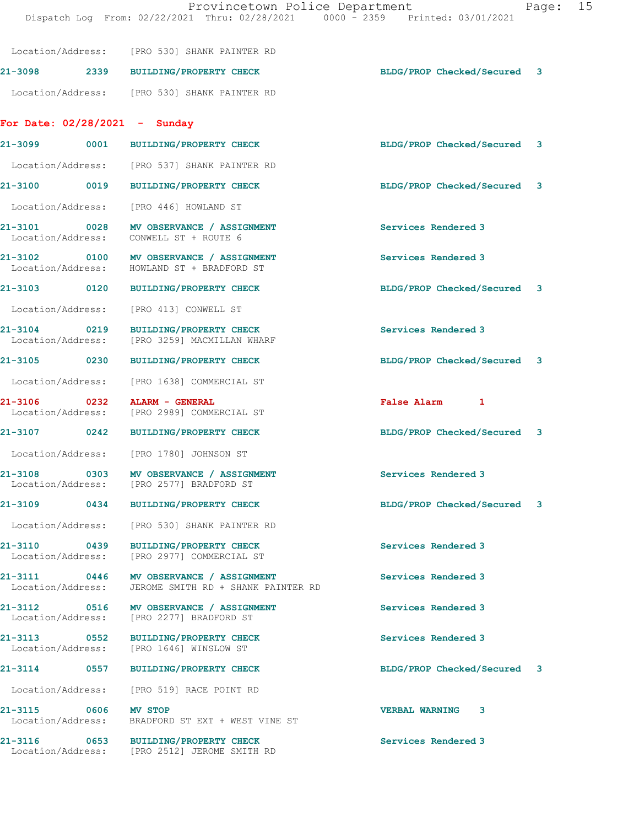|                                           | Location/Address: [PRO 530] SHANK PAINTER RD                                                    |                             |  |
|-------------------------------------------|-------------------------------------------------------------------------------------------------|-----------------------------|--|
|                                           | 21-3098 2339 BUILDING/PROPERTY CHECK                                                            | BLDG/PROP Checked/Secured 3 |  |
|                                           | Location/Address: [PRO 530] SHANK PAINTER RD                                                    |                             |  |
| For Date: $02/28/2021$ - Sunday           |                                                                                                 |                             |  |
|                                           | 21-3099 0001 BUILDING/PROPERTY CHECK                                                            | BLDG/PROP Checked/Secured 3 |  |
|                                           | Location/Address: [PRO 537] SHANK PAINTER RD                                                    |                             |  |
|                                           | 21-3100 0019 BUILDING/PROPERTY CHECK                                                            | BLDG/PROP Checked/Secured 3 |  |
| Location/Address:                         | [PRO 446] HOWLAND ST                                                                            |                             |  |
| 21-3101 0028<br>Location/Address:         | MV OBSERVANCE / ASSIGNMENT<br>CONWELL ST + ROUTE 6                                              | Services Rendered 3         |  |
| Location/Address:                         | 21-3102 0100 MV OBSERVANCE / ASSIGNMENT<br>HOWLAND ST + BRADFORD ST                             | Services Rendered 3         |  |
| 21-3103 0120                              | <b>BUILDING/PROPERTY CHECK</b>                                                                  | BLDG/PROP Checked/Secured 3 |  |
|                                           | Location/Address: [PRO 413] CONWELL ST                                                          |                             |  |
| 21-3104 0219<br>Location/Address:         | <b>BUILDING/PROPERTY CHECK</b><br>[PRO 3259] MACMILLAN WHARF                                    | Services Rendered 3         |  |
|                                           | 21-3105 0230 BUILDING/PROPERTY CHECK                                                            | BLDG/PROP Checked/Secured 3 |  |
|                                           | Location/Address: [PRO 1638] COMMERCIAL ST                                                      |                             |  |
| 21-3106 0232<br>Location/Address:         | ALARM - GENERAL<br>[PRO 2989] COMMERCIAL ST                                                     | False Alarm 1               |  |
| 21-3107 0242                              | BUILDING/PROPERTY CHECK                                                                         | BLDG/PROP Checked/Secured 3 |  |
|                                           | Location/Address: [PRO 1780] JOHNSON ST                                                         |                             |  |
|                                           | 21-3108 0303 MV OBSERVANCE / ASSIGNMENT<br>Location/Address: [PRO 2577] BRADFORD ST             | Services Rendered 3         |  |
| 21-3109                                   | 0434 BUILDING/PROPERTY CHECK                                                                    | BLDG/PROP Checked/Secured 3 |  |
|                                           | Location/Address: [PRO 530] SHANK PAINTER RD                                                    |                             |  |
|                                           | 21-3110 0439 BUILDING/PROPERTY CHECK<br>Location/Address: [PRO 2977] COMMERCIAL ST              | Services Rendered 3         |  |
|                                           | 21-3111 0446 MV OBSERVANCE / ASSIGNMENT<br>Location/Address: JEROME SMITH RD + SHANK PAINTER RD | Services Rendered 3         |  |
|                                           | 21-3112 0516 MV OBSERVANCE / ASSIGNMENT<br>Location/Address: [PRO 2277] BRADFORD ST             | Services Rendered 3         |  |
|                                           | 21-3113 0552 BUILDING/PROPERTY CHECK<br>Location/Address: [PRO 1646] WINSLOW ST                 | Services Rendered 3         |  |
|                                           | 21-3114 0557 BUILDING/PROPERTY CHECK                                                            | BLDG/PROP Checked/Secured 3 |  |
| Location/Address:                         | [PRO 519] RACE POINT RD                                                                         |                             |  |
| 21-3115 0606 MV STOP<br>Location/Address: | BRADFORD ST EXT + WEST VINE ST                                                                  | <b>VERBAL WARNING</b><br>3  |  |
| Location/Address:                         | 21-3116 0653 BUILDING/PROPERTY CHECK<br>[PRO 2512] JEROME SMITH RD                              | Services Rendered 3         |  |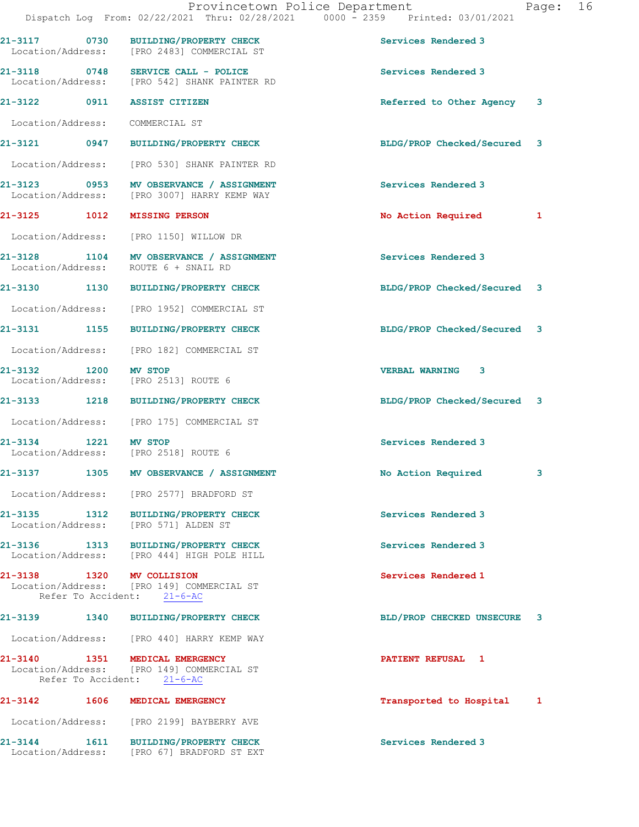|                           | Provincetown Police Department<br>Dispatch Log From: 02/22/2021 Thru: 02/28/2021 0000 - 2359 Printed: 03/01/2021 |                             | Page: | 16 |
|---------------------------|------------------------------------------------------------------------------------------------------------------|-----------------------------|-------|----|
|                           | 21-3117 0730 BUILDING/PROPERTY CHECK<br>Location/Address: [PRO 2483] COMMERCIAL ST                               | Services Rendered 3         |       |    |
|                           | 21-3118 0748 SERVICE CALL - POLICE<br>Location/Address: [PRO 542] SHANK PAINTER RD                               | Services Rendered 3         |       |    |
|                           | 21-3122 0911 ASSIST CITIZEN                                                                                      | Referred to Other Agency 3  |       |    |
|                           | Location/Address: COMMERCIAL ST                                                                                  |                             |       |    |
|                           | 21-3121 0947 BUILDING/PROPERTY CHECK                                                                             | BLDG/PROP Checked/Secured 3 |       |    |
|                           | Location/Address: [PRO 530] SHANK PAINTER RD                                                                     |                             |       |    |
|                           | 21-3123 0953 MV OBSERVANCE / ASSIGNMENT<br>Location/Address: [PRO 3007] HARRY KEMP WAY                           | Services Rendered 3         |       |    |
|                           | 21-3125 1012 MISSING PERSON                                                                                      | No Action Required          | 1     |    |
|                           | Location/Address: [PRO 1150] WILLOW DR                                                                           |                             |       |    |
|                           | 21-3128 1104 MV OBSERVANCE / ASSIGNMENT<br>Location/Address: ROUTE 6 + SNAIL RD                                  | Services Rendered 3         |       |    |
|                           | 21-3130 1130 BUILDING/PROPERTY CHECK                                                                             | BLDG/PROP Checked/Secured 3 |       |    |
|                           | Location/Address: [PRO 1952] COMMERCIAL ST                                                                       |                             |       |    |
|                           | 21-3131 1155 BUILDING/PROPERTY CHECK                                                                             | BLDG/PROP Checked/Secured 3 |       |    |
|                           | Location/Address: [PRO 182] COMMERCIAL ST                                                                        |                             |       |    |
| 21-3132 1200 MV STOP      | Location/Address: [PRO 2513] ROUTE 6                                                                             | VERBAL WARNING 3            |       |    |
|                           | 21-3133 1218 BUILDING/PROPERTY CHECK                                                                             | BLDG/PROP Checked/Secured 3 |       |    |
|                           | Location/Address: [PRO 175] COMMERCIAL ST                                                                        |                             |       |    |
| 21-3134 1221 MV STOP      | Location/Address: [PRO 2518] ROUTE 6                                                                             | Services Rendered 3         |       |    |
| 21-3137                   | 1305 MV OBSERVANCE / ASSIGNMENT                                                                                  | No Action Required          | 3     |    |
|                           | Location/Address: [PRO 2577] BRADFORD ST                                                                         |                             |       |    |
|                           | 21-3135 1312 BUILDING/PROPERTY CHECK<br>Location/Address: [PRO 571] ALDEN ST                                     | Services Rendered 3         |       |    |
|                           | 21-3136 1313 BUILDING/PROPERTY CHECK<br>Location/Address: [PRO 444] HIGH POLE HILL                               | Services Rendered 3         |       |    |
| 21-3138 1320 MV COLLISION | Location/Address: [PRO 149] COMMERCIAL ST<br>Refer To Accident: 21-6-AC                                          | Services Rendered 1         |       |    |
|                           | 21-3139 1340 BUILDING/PROPERTY CHECK                                                                             | BLD/PROP CHECKED UNSECURE 3 |       |    |
|                           | Location/Address: [PRO 440] HARRY KEMP WAY                                                                       |                             |       |    |
|                           | 21-3140 1351 MEDICAL EMERGENCY<br>Location/Address: [PRO 149] COMMERCIAL ST<br>Refer To Accident: 21-6-AC        | PATIENT REFUSAL 1           |       |    |
|                           | 21-3142 1606 MEDICAL EMERGENCY                                                                                   | Transported to Hospital     | 1     |    |
|                           | Location/Address: [PRO 2199] BAYBERRY AVE                                                                        |                             |       |    |
| 21-3144                   | 1611 BUILDING/PROPERTY CHECK                                                                                     | Services Rendered 3         |       |    |

Location/Address: [PRO 67] BRADFORD ST EXT